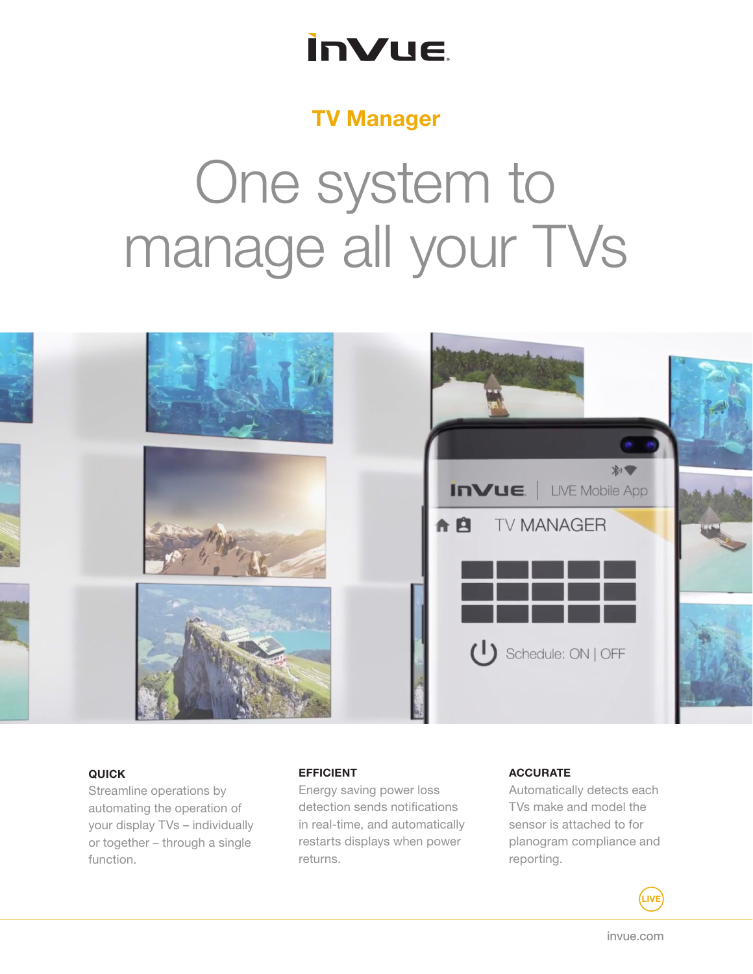# **InVue**

# TV Manager

# One system to manage all your TVs



### QUICK

Streamline operations by automating the operation of your display TVs – individually or together – through a single function.

#### EFFICIENT

Energy saving power loss detection sends notifications in real-time, and automatically restarts displays when power returns.

#### **ACCURATE**

Automatically detects each TVs make and model the sensor is attached to for planogram compliance and reporting.